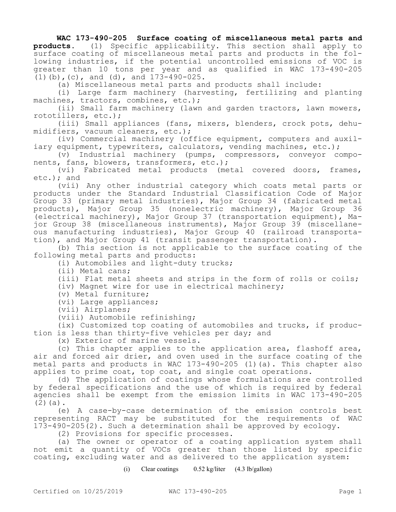## **WAC 173-490-205 Surface coating of miscellaneous metal parts and**

**products.** (1) Specific applicability. This section shall apply to surface coating of miscellaneous metal parts and products in the following industries, if the potential uncontrolled emissions of VOC is greater than 10 tons per year and as qualified in WAC 173-490-205 (1)(b),(c), and (d), and 173-490-025.

(a) Miscellaneous metal parts and products shall include:

(i) Large farm machinery (harvesting, fertilizing and planting machines, tractors, combines, etc.);

(ii) Small farm machinery (lawn and garden tractors, lawn mowers, rototillers, etc.);

(iii) Small appliances (fans, mixers, blenders, crock pots, dehumidifiers, vacuum cleaners, etc.);

(iv) Commercial machinery (office equipment, computers and auxiliary equipment, typewriters, calculators, vending machines, etc.);

(v) Industrial machinery (pumps, compressors, conveyor components, fans, blowers, transformers, etc.);

(vi) Fabricated metal products (metal covered doors, frames, etc.); and

(vii) Any other industrial category which coats metal parts or products under the Standard Industrial Classification Code of Major Group 33 (primary metal industries), Major Group 34 (fabricated metal products), Major Group 35 (nonelectric machinery), Major Group 36 (electrical machinery), Major Group 37 (transportation equipment), Major Group 38 (miscellaneous instruments), Major Group 39 (miscellaneous manufacturing industries), Major Group 40 (railroad transportation), and Major Group 41 (transit passenger transportation).

(b) This section is not applicable to the surface coating of the following metal parts and products:

(i) Automobiles and light-duty trucks;

(ii) Metal cans;

(iii) Flat metal sheets and strips in the form of rolls or coils;

(iv) Magnet wire for use in electrical machinery;

(v) Metal furniture;

(vi) Large appliances;

(vii) Airplanes;

(viii) Automobile refinishing;

(ix) Customized top coating of automobiles and trucks, if production is less than thirty-five vehicles per day; and

(x) Exterior of marine vessels.

(c) This chapter applies to the application area, flashoff area, air and forced air drier, and oven used in the surface coating of the metal parts and products in WAC 173-490-205 (1)(a). This chapter also applies to prime coat, top coat, and single coat operations.

(d) The application of coatings whose formulations are controlled by federal specifications and the use of which is required by federal agencies shall be exempt from the emission limits in WAC 173-490-205  $(2)(a)$ .

(e) A case-by-case determination of the emission controls best representing RACT may be substituted for the requirements of WAC 173-490-205(2). Such a determination shall be approved by ecology.

(2) Provisions for specific processes.

(a) The owner or operator of a coating application system shall not emit a quantity of VOCs greater than those listed by specific coating, excluding water and as delivered to the application system:

(i) Clear coatings 0.52 kg/liter (4.3 lb/gallon)